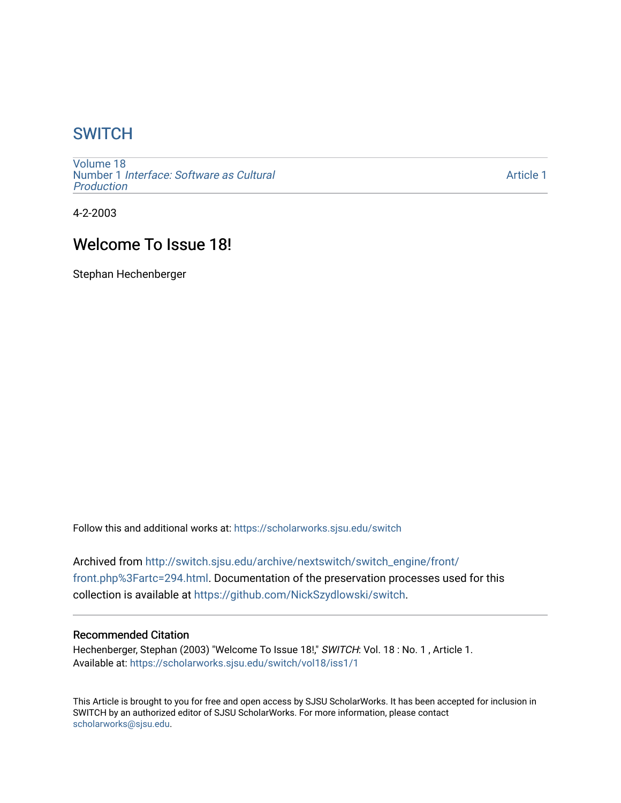# **SWITCH**

[Volume 18](https://scholarworks.sjsu.edu/switch/vol18) Number 1 [Interface: Software as Cultural](https://scholarworks.sjsu.edu/switch/vol18/iss1)  [Production](https://scholarworks.sjsu.edu/switch/vol18/iss1)

[Article 1](https://scholarworks.sjsu.edu/switch/vol18/iss1/1) 

4-2-2003

# Welcome To Issue 18!

Stephan Hechenberger

Follow this and additional works at: [https://scholarworks.sjsu.edu/switch](https://scholarworks.sjsu.edu/switch?utm_source=scholarworks.sjsu.edu%2Fswitch%2Fvol18%2Fiss1%2F1&utm_medium=PDF&utm_campaign=PDFCoverPages)

Archived from [http://switch.sjsu.edu/archive/nextswitch/switch\\_engine/front/](http://switch.sjsu.edu/archive/nextswitch/switch_engine/front/front.php%3Fartc=294.html) [front.php%3Fartc=294.html.](http://switch.sjsu.edu/archive/nextswitch/switch_engine/front/front.php%3Fartc=294.html) Documentation of the preservation processes used for this collection is available at [https://github.com/NickSzydlowski/switch.](https://github.com/NickSzydlowski/switch)

#### Recommended Citation

Hechenberger, Stephan (2003) "Welcome To Issue 18!," SWITCH: Vol. 18 : No. 1, Article 1. Available at: [https://scholarworks.sjsu.edu/switch/vol18/iss1/1](https://scholarworks.sjsu.edu/switch/vol18/iss1/1?utm_source=scholarworks.sjsu.edu%2Fswitch%2Fvol18%2Fiss1%2F1&utm_medium=PDF&utm_campaign=PDFCoverPages) 

This Article is brought to you for free and open access by SJSU ScholarWorks. It has been accepted for inclusion in SWITCH by an authorized editor of SJSU ScholarWorks. For more information, please contact [scholarworks@sjsu.edu](mailto:scholarworks@sjsu.edu).